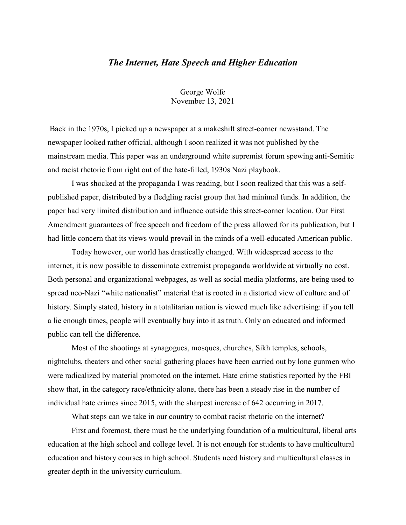## *The Internet, Hate Speech and Higher Education*

George Wolfe November 13, 2021

Back in the 1970s, I picked up a newspaper at a makeshift street-corner newsstand. The newspaper looked rather official, although I soon realized it was not published by the mainstream media. This paper was an underground white supremist forum spewing anti-Semitic and racist rhetoric from right out of the hate-filled, 1930s Nazi playbook.

I was shocked at the propaganda I was reading, but I soon realized that this was a selfpublished paper, distributed by a fledgling racist group that had minimal funds. In addition, the paper had very limited distribution and influence outside this street-corner location. Our First Amendment guarantees of free speech and freedom of the press allowed for its publication, but I had little concern that its views would prevail in the minds of a well-educated American public.

Today however, our world has drastically changed. With widespread access to the internet, it is now possible to disseminate extremist propaganda worldwide at virtually no cost. Both personal and organizational webpages, as well as social media platforms, are being used to spread neo-Nazi "white nationalist" material that is rooted in a distorted view of culture and of history. Simply stated, history in a totalitarian nation is viewed much like advertising: if you tell a lie enough times, people will eventually buy into it as truth. Only an educated and informed public can tell the difference.

Most of the shootings at synagogues, mosques, churches, Sikh temples, schools, nightclubs, theaters and other social gathering places have been carried out by lone gunmen who were radicalized by material promoted on the internet. Hate crime statistics reported by the FBI show that, in the category race/ethnicity alone, there has been a steady rise in the number of individual hate crimes since 2015, with the sharpest increase of 642 occurring in 2017.

What steps can we take in our country to combat racist rhetoric on the internet?

First and foremost, there must be the underlying foundation of a multicultural, liberal arts education at the high school and college level. It is not enough for students to have multicultural education and history courses in high school. Students need history and multicultural classes in greater depth in the university curriculum.